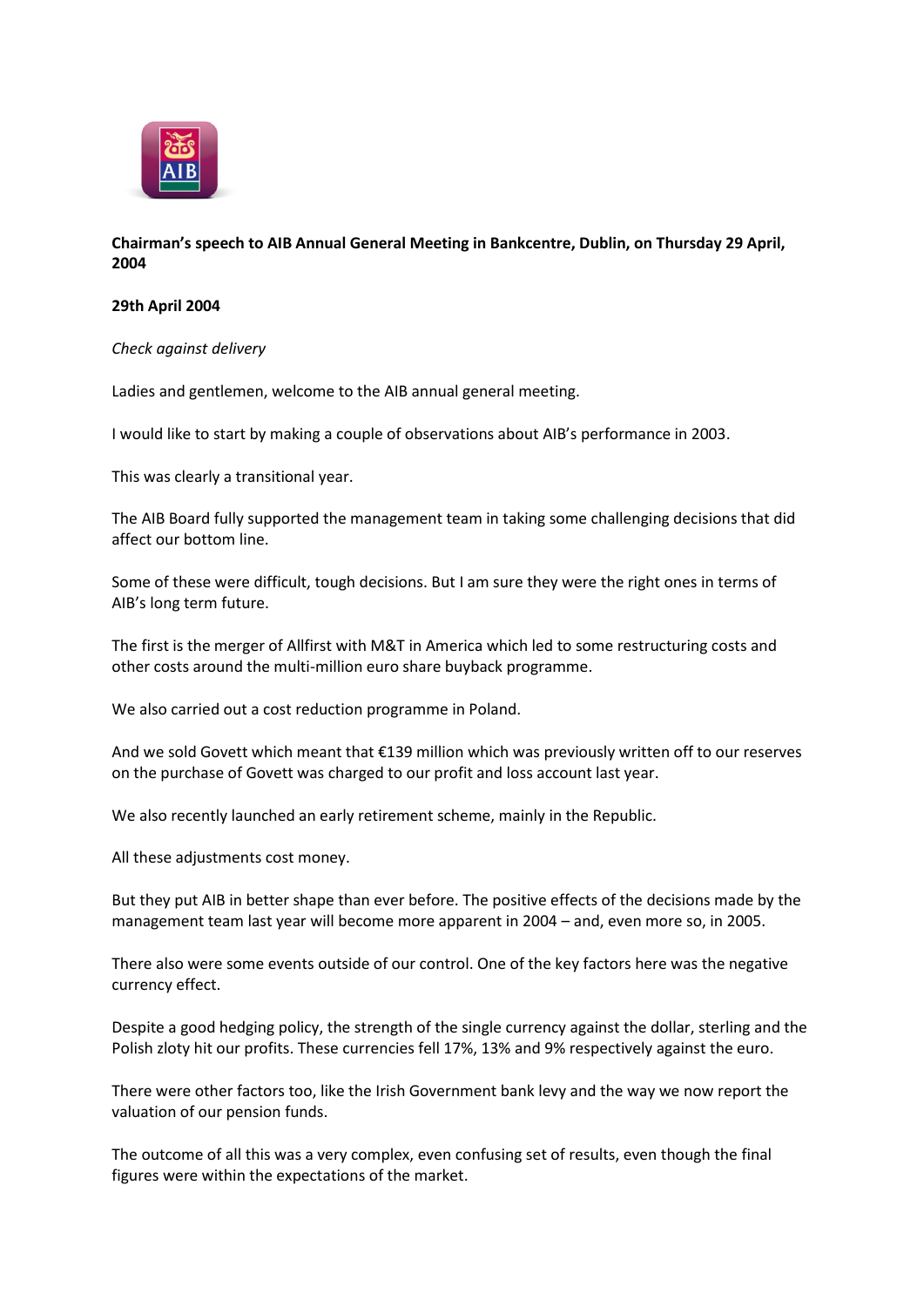

## **Chairman's speech to AIB Annual General Meeting in Bankcentre, Dublin, on Thursday 29 April, 2004**

## **29th April 2004**

*Check against delivery*

Ladies and gentlemen, welcome to the AIB annual general meeting.

I would like to start by making a couple of observations about AIB's performance in 2003.

This was clearly a transitional year.

The AIB Board fully supported the management team in taking some challenging decisions that did affect our bottom line.

Some of these were difficult, tough decisions. But I am sure they were the right ones in terms of AIB's long term future.

The first is the merger of Allfirst with M&T in America which led to some restructuring costs and other costs around the multi-million euro share buyback programme.

We also carried out a cost reduction programme in Poland.

And we sold Govett which meant that €139 million which was previously written off to our reserves on the purchase of Govett was charged to our profit and loss account last year.

We also recently launched an early retirement scheme, mainly in the Republic.

All these adjustments cost money.

But they put AIB in better shape than ever before. The positive effects of the decisions made by the management team last year will become more apparent in 2004 – and, even more so, in 2005.

There also were some events outside of our control. One of the key factors here was the negative currency effect.

Despite a good hedging policy, the strength of the single currency against the dollar, sterling and the Polish zloty hit our profits. These currencies fell 17%, 13% and 9% respectively against the euro.

There were other factors too, like the Irish Government bank levy and the way we now report the valuation of our pension funds.

The outcome of all this was a very complex, even confusing set of results, even though the final figures were within the expectations of the market.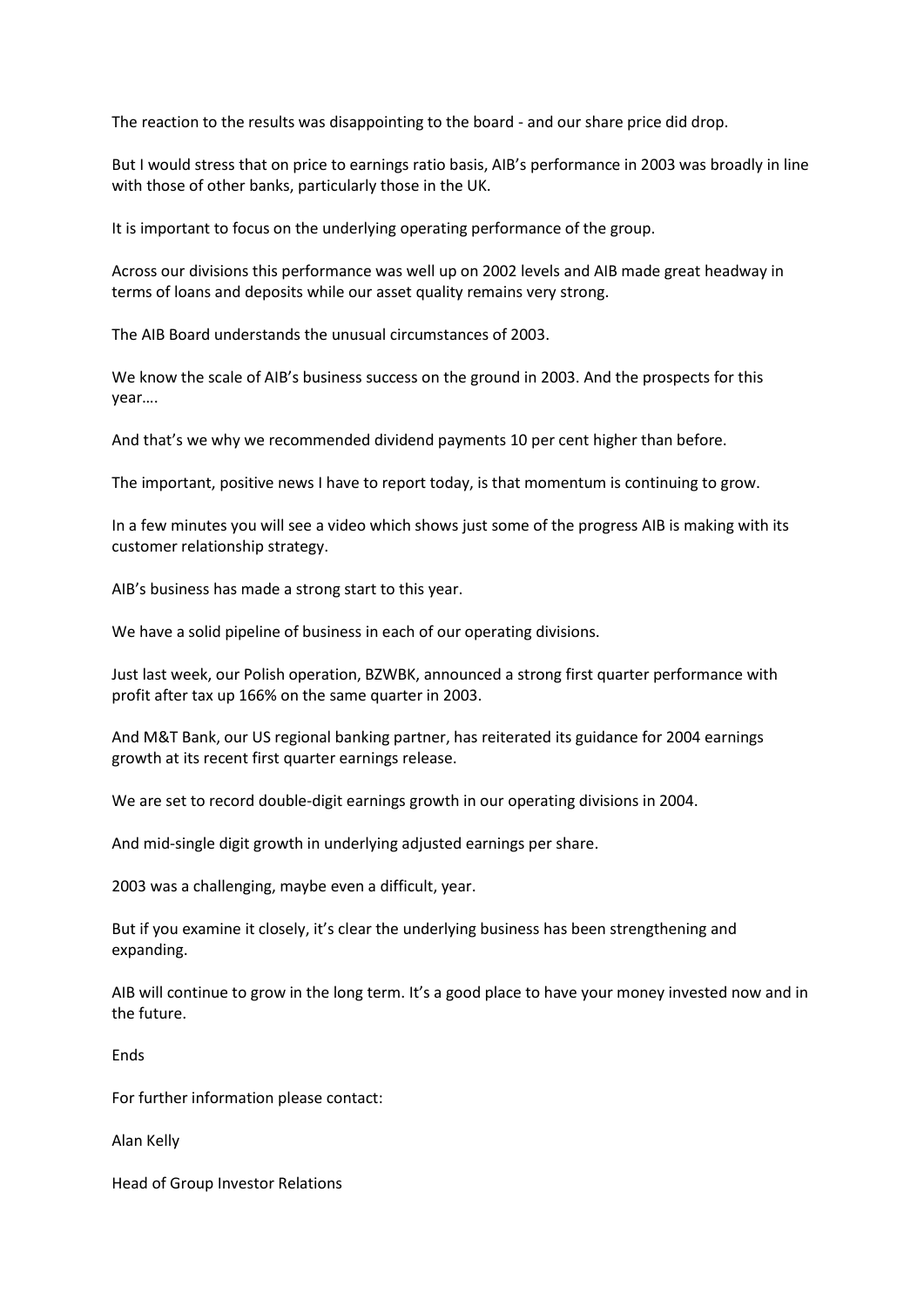The reaction to the results was disappointing to the board - and our share price did drop.

But I would stress that on price to earnings ratio basis, AIB's performance in 2003 was broadly in line with those of other banks, particularly those in the UK.

It is important to focus on the underlying operating performance of the group.

Across our divisions this performance was well up on 2002 levels and AIB made great headway in terms of loans and deposits while our asset quality remains very strong.

The AIB Board understands the unusual circumstances of 2003.

We know the scale of AIB's business success on the ground in 2003. And the prospects for this year….

And that's we why we recommended dividend payments 10 per cent higher than before.

The important, positive news I have to report today, is that momentum is continuing to grow.

In a few minutes you will see a video which shows just some of the progress AIB is making with its customer relationship strategy.

AIB's business has made a strong start to this year.

We have a solid pipeline of business in each of our operating divisions.

Just last week, our Polish operation, BZWBK, announced a strong first quarter performance with profit after tax up 166% on the same quarter in 2003.

And M&T Bank, our US regional banking partner, has reiterated its guidance for 2004 earnings growth at its recent first quarter earnings release.

We are set to record double-digit earnings growth in our operating divisions in 2004.

And mid-single digit growth in underlying adjusted earnings per share.

2003 was a challenging, maybe even a difficult, year.

But if you examine it closely, it's clear the underlying business has been strengthening and expanding.

AIB will continue to grow in the long term. It's a good place to have your money invested now and in the future.

Ends

For further information please contact:

Alan Kelly

Head of Group Investor Relations